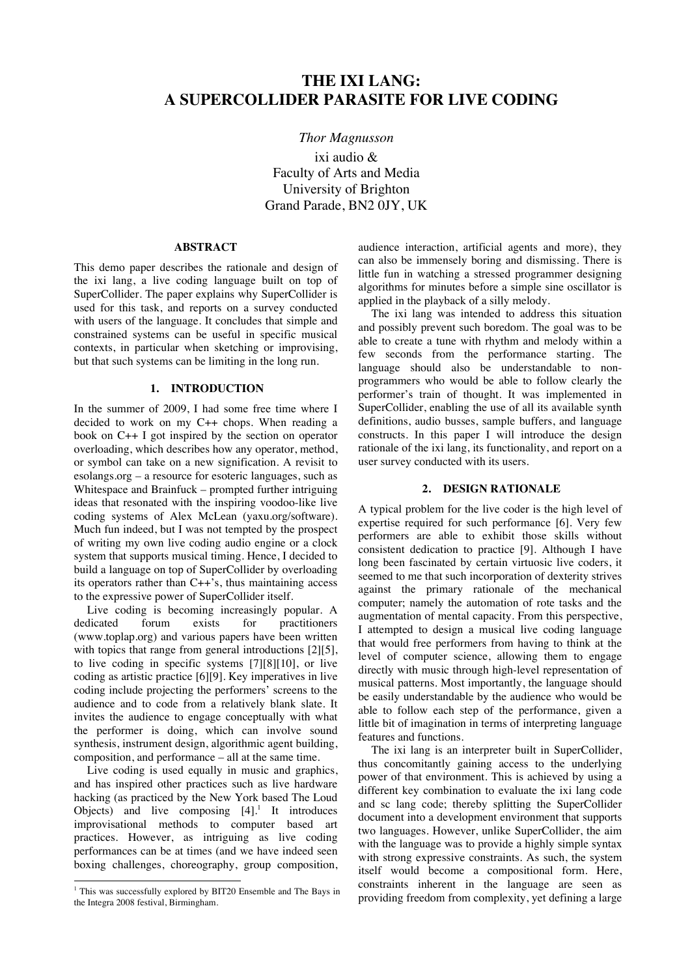# **THE IXI LANG: A SUPERCOLLIDER PARASITE FOR LIVE CODING**

## *Thor Magnusson*

ixi audio & Faculty of Arts and Media University of Brighton Grand Parade, BN2 0JY, UK

# **ABSTRACT**

This demo paper describes the rationale and design of the ixi lang, a live coding language built on top of SuperCollider. The paper explains why SuperCollider is used for this task, and reports on a survey conducted with users of the language. It concludes that simple and constrained systems can be useful in specific musical contexts, in particular when sketching or improvising, but that such systems can be limiting in the long run.

# **1. INTRODUCTION**

In the summer of 2009, I had some free time where I decided to work on my C++ chops. When reading a book on C++ I got inspired by the section on operator overloading, which describes how any operator, method, or symbol can take on a new signification. A revisit to esolangs.org – a resource for esoteric languages, such as Whitespace and Brainfuck – prompted further intriguing ideas that resonated with the inspiring voodoo-like live coding systems of Alex McLean (yaxu.org/software). Much fun indeed, but I was not tempted by the prospect of writing my own live coding audio engine or a clock system that supports musical timing. Hence, I decided to build a language on top of SuperCollider by overloading its operators rather than C++'s, thus maintaining access to the expressive power of SuperCollider itself.

Live coding is becoming increasingly popular. A dedicated forum exists for practitioners (www.toplap.org) and various papers have been written with topics that range from general introductions [2][5], to live coding in specific systems [7][8][10], or live coding as artistic practice [6][9]. Key imperatives in live coding include projecting the performers' screens to the audience and to code from a relatively blank slate. It invites the audience to engage conceptually with what the performer is doing, which can involve sound synthesis, instrument design, algorithmic agent building, composition, and performance – all at the same time.

Live coding is used equally in music and graphics, and has inspired other practices such as live hardware hacking (as practiced by the New York based The Loud Objects) and live composing  $[4]$ .<sup>1</sup> It introduces improvisational methods to computer based art practices. However, as intriguing as live coding performances can be at times (and we have indeed seen boxing challenges, choreography, group composition,

audience interaction, artificial agents and more), they can also be immensely boring and dismissing. There is little fun in watching a stressed programmer designing algorithms for minutes before a simple sine oscillator is applied in the playback of a silly melody.

The ixi lang was intended to address this situation and possibly prevent such boredom. The goal was to be able to create a tune with rhythm and melody within a few seconds from the performance starting. The language should also be understandable to nonprogrammers who would be able to follow clearly the performer's train of thought. It was implemented in SuperCollider, enabling the use of all its available synth definitions, audio busses, sample buffers, and language constructs. In this paper I will introduce the design rationale of the ixi lang, its functionality, and report on a user survey conducted with its users.

# **2. DESIGN RATIONALE**

A typical problem for the live coder is the high level of expertise required for such performance [6]. Very few performers are able to exhibit those skills without consistent dedication to practice [9]. Although I have long been fascinated by certain virtuosic live coders, it seemed to me that such incorporation of dexterity strives against the primary rationale of the mechanical computer; namely the automation of rote tasks and the augmentation of mental capacity. From this perspective, I attempted to design a musical live coding language that would free performers from having to think at the level of computer science, allowing them to engage directly with music through high-level representation of musical patterns. Most importantly, the language should be easily understandable by the audience who would be able to follow each step of the performance, given a little bit of imagination in terms of interpreting language features and functions.

The ixi lang is an interpreter built in SuperCollider, thus concomitantly gaining access to the underlying power of that environment. This is achieved by using a different key combination to evaluate the ixi lang code and sc lang code; thereby splitting the SuperCollider document into a development environment that supports two languages. However, unlike SuperCollider, the aim with the language was to provide a highly simple syntax with strong expressive constraints. As such, the system itself would become a compositional form. Here, constraints inherent in the language are seen as providing freedom from complexity, yet defining a large

<sup>&</sup>lt;sup>1</sup> This was successfully explored by BIT20 Ensemble and The Bays in the Integra 2008 festival, Birmingham.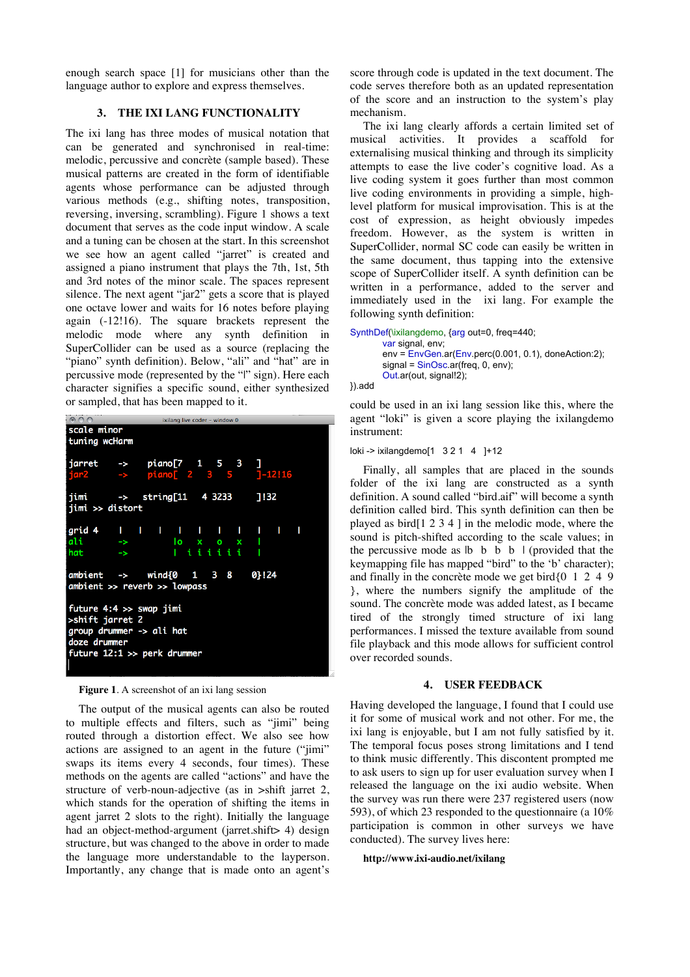enough search space [1] for musicians other than the language author to explore and express themselves.

# **3. THE IXI LANG FUNCTIONALITY**

The ixi lang has three modes of musical notation that can be generated and synchronised in real-time: melodic, percussive and concrète (sample based). These musical patterns are created in the form of identifiable agents whose performance can be adjusted through various methods (e.g., shifting notes, transposition, reversing, inversing, scrambling). Figure 1 shows a text document that serves as the code input window. A scale and a tuning can be chosen at the start. In this screenshot we see how an agent called "jarret" is created and assigned a piano instrument that plays the 7th, 1st, 5th and 3rd notes of the minor scale. The spaces represent silence. The next agent "jar2" gets a score that is played one octave lower and waits for 16 notes before playing again (-12!16). The square brackets represent the melodic mode where any synth definition in SuperCollider can be used as a source (replacing the "piano" synth definition). Below, "ali" and "hat" are in percussive mode (represented by the "|" sign). Here each character signifies a specific sound, either synthesized or sampled, that has been mapped to it.



**Figure 1**. A screenshot of an ixi lang session

The output of the musical agents can also be routed to multiple effects and filters, such as "jimi" being routed through a distortion effect. We also see how actions are assigned to an agent in the future ("jimi" swaps its items every 4 seconds, four times). These methods on the agents are called "actions" and have the structure of verb-noun-adjective (as in >shift jarret 2, which stands for the operation of shifting the items in agent jarret 2 slots to the right). Initially the language had an object-method-argument (jarret.shift> 4) design structure, but was changed to the above in order to made the language more understandable to the layperson. Importantly, any change that is made onto an agent's score through code is updated in the text document. The code serves therefore both as an updated representation of the score and an instruction to the system's play mechanism.

The ixi lang clearly affords a certain limited set of musical activities. It provides a scaffold for externalising musical thinking and through its simplicity attempts to ease the live coder's cognitive load. As a live coding system it goes further than most common live coding environments in providing a simple, highlevel platform for musical improvisation. This is at the cost of expression, as height obviously impedes freedom. However, as the system is written in SuperCollider, normal SC code can easily be written in the same document, thus tapping into the extensive scope of SuperCollider itself. A synth definition can be written in a performance, added to the server and immediately used in the ixi lang. For example the following synth definition:

SynthDef(\ixilangdemo, {arg out=0, freq=440;

var signal, env; env = EnvGen.ar(Env.perc(0.001, 0.1), doneAction:2);  $signal = SinOsc.ar(freq, 0, env);$ Out.ar(out, signal!2);

}).add

could be used in an ixi lang session like this, where the agent "loki" is given a score playing the ixilangdemo instrument:

#### loki -> ixilangdemo[1 3 2 1 4 ]+12

Finally, all samples that are placed in the sounds folder of the ixi lang are constructed as a synth definition. A sound called "bird.aif" will become a synth definition called bird. This synth definition can then be played as bird[1 2 3 4 ] in the melodic mode, where the sound is pitch-shifted according to the scale values; in the percussive mode as  $|b \, b \, b \, d$  | (provided that the keymapping file has mapped "bird" to the 'b' character); and finally in the concrète mode we get bird{0 1 2 4 9 }, where the numbers signify the amplitude of the sound. The concrète mode was added latest, as I became tired of the strongly timed structure of ixi lang performances. I missed the texture available from sound file playback and this mode allows for sufficient control over recorded sounds.

## **4. USER FEEDBACK**

Having developed the language, I found that I could use it for some of musical work and not other. For me, the ixi lang is enjoyable, but I am not fully satisfied by it. The temporal focus poses strong limitations and I tend to think music differently. This discontent prompted me to ask users to sign up for user evaluation survey when I released the language on the ixi audio website. When the survey was run there were 237 registered users (now 593), of which 23 responded to the questionnaire (a 10% participation is common in other surveys we have conducted). The survey lives here:

#### **http://www.ixi-audio.net/ixilang**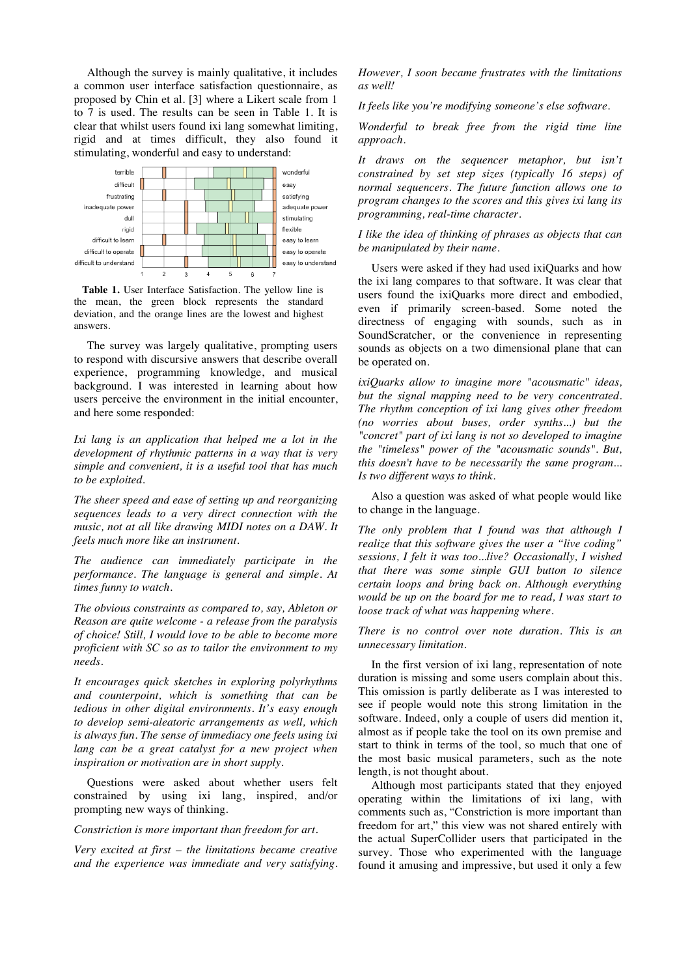Although the survey is mainly qualitative, it includes a common user interface satisfaction questionnaire, as proposed by Chin et al. [3] where a Likert scale from 1 to 7 is used. The results can be seen in Table 1. It is clear that whilst users found ixi lang somewhat limiting, rigid and at times difficult, they also found it stimulating, wonderful and easy to understand:



**Table 1.** User Interface Satisfaction. The yellow line is the mean, the green block represents the standard deviation, and the orange lines are the lowest and highest answers.

The survey was largely qualitative, prompting users to respond with discursive answers that describe overall experience, programming knowledge, and musical background. I was interested in learning about how users perceive the environment in the initial encounter, and here some responded:

*Ixi lang is an application that helped me a lot in the development of rhythmic patterns in a way that is very simple and convenient, it is a useful tool that has much to be exploited.*

*The sheer speed and ease of setting up and reorganizing sequences leads to a very direct connection with the music, not at all like drawing MIDI notes on a DAW. It feels much more like an instrument.*

*The audience can immediately participate in the performance. The language is general and simple. At times funny to watch.*

*The obvious constraints as compared to, say, Ableton or Reason are quite welcome - a release from the paralysis of choice! Still, I would love to be able to become more proficient with SC so as to tailor the environment to my needs.*

*It encourages quick sketches in exploring polyrhythms and counterpoint, which is something that can be tedious in other digital environments. It's easy enough to develop semi-aleatoric arrangements as well, which is always fun. The sense of immediacy one feels using ixi lang can be a great catalyst for a new project when inspiration or motivation are in short supply.*

Questions were asked about whether users felt constrained by using ixi lang, inspired, and/or prompting new ways of thinking.

*Constriction is more important than freedom for art.*

*Very excited at first – the limitations became creative and the experience was immediate and very satisfying.*  *However, I soon became frustrates with the limitations as well!*

*It feels like you're modifying someone's else software.*

*Wonderful to break free from the rigid time line approach.*

*It draws on the sequencer metaphor, but isn't constrained by set step sizes (typically 16 steps) of normal sequencers. The future function allows one to program changes to the scores and this gives ixi lang its programming, real-time character.*

*I like the idea of thinking of phrases as objects that can be manipulated by their name.*

Users were asked if they had used ixiQuarks and how the ixi lang compares to that software. It was clear that users found the ixiQuarks more direct and embodied, even if primarily screen-based. Some noted the directness of engaging with sounds, such as in SoundScratcher, or the convenience in representing sounds as objects on a two dimensional plane that can be operated on.

*ixiQuarks allow to imagine more "acousmatic" ideas, but the signal mapping need to be very concentrated. The rhythm conception of ixi lang gives other freedom (no worries about buses, order synths...) but the "concret" part of ixi lang is not so developed to imagine the "timeless" power of the "acousmatic sounds". But, this doesn't have to be necessarily the same program... Is two different ways to think.*

Also a question was asked of what people would like to change in the language.

*The only problem that I found was that although I realize that this software gives the user a "live coding" sessions, I felt it was too...live? Occasionally, I wished that there was some simple GUI button to silence certain loops and bring back on. Although everything would be up on the board for me to read, I was start to loose track of what was happening where.*

*There is no control over note duration. This is an unnecessary limitation.*

In the first version of ixi lang, representation of note duration is missing and some users complain about this. This omission is partly deliberate as I was interested to see if people would note this strong limitation in the software. Indeed, only a couple of users did mention it, almost as if people take the tool on its own premise and start to think in terms of the tool, so much that one of the most basic musical parameters, such as the note length, is not thought about.

Although most participants stated that they enjoyed operating within the limitations of ixi lang, with comments such as, "Constriction is more important than freedom for art," this view was not shared entirely with the actual SuperCollider users that participated in the survey. Those who experimented with the language found it amusing and impressive, but used it only a few